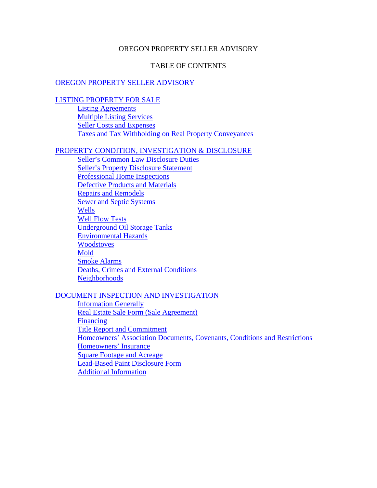### OREGON PROPERTY SELLER ADVISORY

### TABLE OF CONTENTS

#### OREGON PROPERTY SELLER ADVISORY

#### LISTING PROPERTY FOR SALE

Listing Agreements Multiple Listing Services Seller Costs and Expenses Taxes and Tax Withholding on Real Property Conveyances

## PROPERTY CONDITION, INVESTIGATION & DISCLOSURE

Seller's Common Law Disclosure Duties Seller's Property Disclosure Statement Professional Home Inspections Defective Products and Materials Repairs and Remodels Sewer and Septic Systems **Wells** Well Flow Tests Underground Oil Storage Tanks Environmental Hazards **Woodstoves** Mold Smoke Alarms Deaths, Crimes and External Conditions **Neighborhoods** 

### DOCUMENT INSPECTION AND INVESTIGATION

Information Generally Real Estate Sale Form (Sale Agreement) Financing Title Report and Commitment Homeowners' Association Documents, Covenants, Conditions and Restrictions Homeowners' Insurance Square Footage and Acreage Lead-Based Paint Disclosure Form Additional Information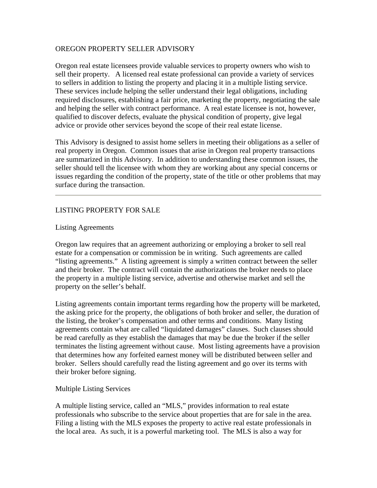## OREGON PROPERTY SELLER ADVISORY

Oregon real estate licensees provide valuable services to property owners who wish to sell their property. A licensed real estate professional can provide a variety of services to sellers in addition to listing the property and placing it in a multiple listing service. These services include helping the seller understand their legal obligations, including required disclosures, establishing a fair price, marketing the property, negotiating the sale and helping the seller with contract performance. A real estate licensee is not, however, qualified to discover defects, evaluate the physical condition of property, give legal advice or provide other services beyond the scope of their real estate license.

This Advisory is designed to assist home sellers in meeting their obligations as a seller of real property in Oregon. Common issues that arise in Oregon real property transactions are summarized in this Advisory. In addition to understanding these common issues, the seller should tell the licensee with whom they are working about any special concerns or issues regarding the condition of the property, state of the title or other problems that may surface during the transaction.

# LISTING PROPERTY FOR SALE

#### Listing Agreements

Oregon law requires that an agreement authorizing or employing a broker to sell real estate for a compensation or commission be in writing. Such agreements are called "listing agreements." A listing agreement is simply a written contract between the seller and their broker. The contract will contain the authorizations the broker needs to place the property in a multiple listing service, advertise and otherwise market and sell the property on the seller's behalf.

Listing agreements contain important terms regarding how the property will be marketed, the asking price for the property, the obligations of both broker and seller, the duration of the listing, the broker's compensation and other terms and conditions. Many listing agreements contain what are called "liquidated damages" clauses. Such clauses should be read carefully as they establish the damages that may be due the broker if the seller terminates the listing agreement without cause. Most listing agreements have a provision that determines how any forfeited earnest money will be distributed between seller and broker. Sellers should carefully read the listing agreement and go over its terms with their broker before signing.

#### Multiple Listing Services

A multiple listing service, called an "MLS," provides information to real estate professionals who subscribe to the service about properties that are for sale in the area. Filing a listing with the MLS exposes the property to active real estate professionals in the local area. As such, it is a powerful marketing tool. The MLS is also a way for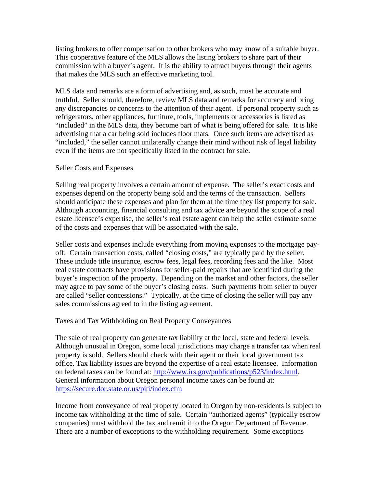listing brokers to offer compensation to other brokers who may know of a suitable buyer. This cooperative feature of the MLS allows the listing brokers to share part of their commission with a buyer's agent. It is the ability to attract buyers through their agents that makes the MLS such an effective marketing tool.

MLS data and remarks are a form of advertising and, as such, must be accurate and truthful. Seller should, therefore, review MLS data and remarks for accuracy and bring any discrepancies or concerns to the attention of their agent. If personal property such as refrigerators, other appliances, furniture, tools, implements or accessories is listed as "included" in the MLS data, they become part of what is being offered for sale. It is like advertising that a car being sold includes floor mats. Once such items are advertised as "included," the seller cannot unilaterally change their mind without risk of legal liability even if the items are not specifically listed in the contract for sale.

## Seller Costs and Expenses

Selling real property involves a certain amount of expense. The seller's exact costs and expenses depend on the property being sold and the terms of the transaction. Sellers should anticipate these expenses and plan for them at the time they list property for sale. Although accounting, financial consulting and tax advice are beyond the scope of a real estate licensee's expertise, the seller's real estate agent can help the seller estimate some of the costs and expenses that will be associated with the sale.

Seller costs and expenses include everything from moving expenses to the mortgage payoff. Certain transaction costs, called "closing costs," are typically paid by the seller. These include title insurance, escrow fees, legal fees, recording fees and the like. Most real estate contracts have provisions for seller-paid repairs that are identified during the buyer's inspection of the property. Depending on the market and other factors, the seller may agree to pay some of the buyer's closing costs. Such payments from seller to buyer are called "seller concessions." Typically, at the time of closing the seller will pay any sales commissions agreed to in the listing agreement.

## Taxes and Tax Withholding on Real Property Conveyances

The sale of real property can generate tax liability at the local, state and federal levels. Although unusual in Oregon, some local jurisdictions may charge a transfer tax when real property is sold. Sellers should check with their agent or their local government tax office. Tax liability issues are beyond the expertise of a real estate licensee. Information on federal taxes can be found at: http://www.irs.gov/publications/p523/index.html. General information about Oregon personal income taxes can be found at: https://secure.dor.state.or.us/piti/index.cfm

Income from conveyance of real property located in Oregon by non-residents is subject to income tax withholding at the time of sale. Certain "authorized agents" (typically escrow companies) must withhold the tax and remit it to the Oregon Department of Revenue. There are a number of exceptions to the withholding requirement. Some exceptions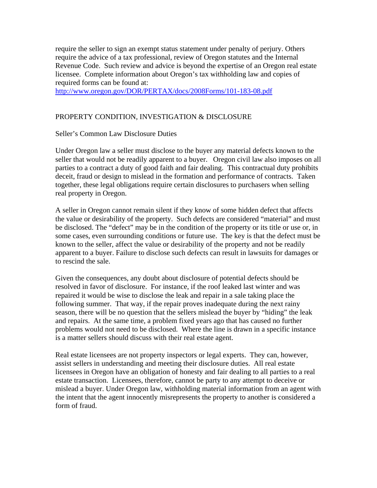require the seller to sign an exempt status statement under penalty of perjury. Others require the advice of a tax professional, review of Oregon statutes and the Internal Revenue Code. Such review and advice is beyond the expertise of an Oregon real estate licensee. Complete information about Oregon's tax withholding law and copies of required forms can be found at:

http://www.oregon.gov/DOR/PERTAX/docs/2008Forms/101-183-08.pdf

# PROPERTY CONDITION, INVESTIGATION & DISCLOSURE

## Seller's Common Law Disclosure Duties

Under Oregon law a seller must disclose to the buyer any material defects known to the seller that would not be readily apparent to a buyer. Oregon civil law also imposes on all parties to a contract a duty of good faith and fair dealing. This contractual duty prohibits deceit, fraud or design to mislead in the formation and performance of contracts. Taken together, these legal obligations require certain disclosures to purchasers when selling real property in Oregon.

A seller in Oregon cannot remain silent if they know of some hidden defect that affects the value or desirability of the property. Such defects are considered "material" and must be disclosed. The "defect" may be in the condition of the property or its title or use or, in some cases, even surrounding conditions or future use. The key is that the defect must be known to the seller, affect the value or desirability of the property and not be readily apparent to a buyer. Failure to disclose such defects can result in lawsuits for damages or to rescind the sale.

Given the consequences, any doubt about disclosure of potential defects should be resolved in favor of disclosure. For instance, if the roof leaked last winter and was repaired it would be wise to disclose the leak and repair in a sale taking place the following summer. That way, if the repair proves inadequate during the next rainy season, there will be no question that the sellers mislead the buyer by "hiding" the leak and repairs. At the same time, a problem fixed years ago that has caused no further problems would not need to be disclosed. Where the line is drawn in a specific instance is a matter sellers should discuss with their real estate agent.

Real estate licensees are not property inspectors or legal experts. They can, however, assist sellers in understanding and meeting their disclosure duties. All real estate licensees in Oregon have an obligation of honesty and fair dealing to all parties to a real estate transaction. Licensees, therefore, cannot be party to any attempt to deceive or mislead a buyer. Under Oregon law, withholding material information from an agent with the intent that the agent innocently misrepresents the property to another is considered a form of fraud.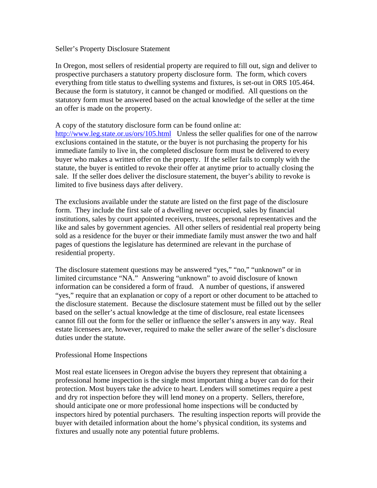#### Seller's Property Disclosure Statement

In Oregon, most sellers of residential property are required to fill out, sign and deliver to prospective purchasers a statutory property disclosure form. The form, which covers everything from title status to dwelling systems and fixtures, is set-out in ORS 105.464. Because the form is statutory, it cannot be changed or modified. All questions on the statutory form must be answered based on the actual knowledge of the seller at the time an offer is made on the property.

## A copy of the statutory disclosure form can be found online at:

http://www.leg.state.or.us/ors/105.html Unless the seller qualifies for one of the narrow exclusions contained in the statute, or the buyer is not purchasing the property for his immediate family to live in, the completed disclosure form must be delivered to every buyer who makes a written offer on the property. If the seller fails to comply with the statute, the buyer is entitled to revoke their offer at anytime prior to actually closing the sale. If the seller does deliver the disclosure statement, the buyer's ability to revoke is limited to five business days after delivery.

The exclusions available under the statute are listed on the first page of the disclosure form. They include the first sale of a dwelling never occupied, sales by financial institutions, sales by court appointed receivers, trustees, personal representatives and the like and sales by government agencies. All other sellers of residential real property being sold as a residence for the buyer or their immediate family must answer the two and half pages of questions the legislature has determined are relevant in the purchase of residential property.

The disclosure statement questions may be answered "yes," "no," "unknown" or in limited circumstance "NA." Answering "unknown" to avoid disclosure of known information can be considered a form of fraud. A number of questions, if answered "yes," require that an explanation or copy of a report or other document to be attached to the disclosure statement. Because the disclosure statement must be filled out by the seller based on the seller's actual knowledge at the time of disclosure, real estate licensees cannot fill out the form for the seller or influence the seller's answers in any way. Real estate licensees are, however, required to make the seller aware of the seller's disclosure duties under the statute.

## Professional Home Inspections

Most real estate licensees in Oregon advise the buyers they represent that obtaining a professional home inspection is the single most important thing a buyer can do for their protection. Most buyers take the advice to heart. Lenders will sometimes require a pest and dry rot inspection before they will lend money on a property. Sellers, therefore, should anticipate one or more professional home inspections will be conducted by inspectors hired by potential purchasers. The resulting inspection reports will provide the buyer with detailed information about the home's physical condition, its systems and fixtures and usually note any potential future problems.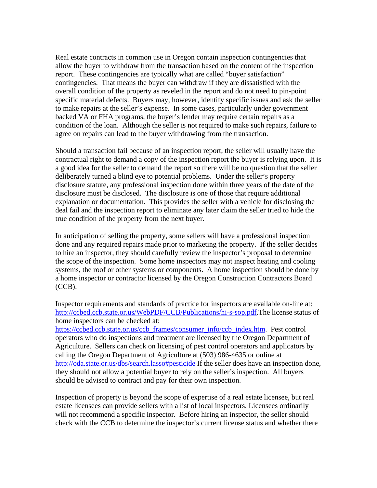Real estate contracts in common use in Oregon contain inspection contingencies that allow the buyer to withdraw from the transaction based on the content of the inspection report. These contingencies are typically what are called "buyer satisfaction" contingencies. That means the buyer can withdraw if they are dissatisfied with the overall condition of the property as reveled in the report and do not need to pin-point specific material defects. Buyers may, however, identify specific issues and ask the seller to make repairs at the seller's expense. In some cases, particularly under government backed VA or FHA programs, the buyer's lender may require certain repairs as a condition of the loan. Although the seller is not required to make such repairs, failure to agree on repairs can lead to the buyer withdrawing from the transaction.

Should a transaction fail because of an inspection report, the seller will usually have the contractual right to demand a copy of the inspection report the buyer is relying upon. It is a good idea for the seller to demand the report so there will be no question that the seller deliberately turned a blind eye to potential problems. Under the seller's property disclosure statute, any professional inspection done within three years of the date of the disclosure must be disclosed. The disclosure is one of those that require additional explanation or documentation. This provides the seller with a vehicle for disclosing the deal fail and the inspection report to eliminate any later claim the seller tried to hide the true condition of the property from the next buyer.

In anticipation of selling the property, some sellers will have a professional inspection done and any required repairs made prior to marketing the property. If the seller decides to hire an inspector, they should carefully review the inspector's proposal to determine the scope of the inspection. Some home inspectors may not inspect heating and cooling systems, the roof or other systems or components. A home inspection should be done by a home inspector or contractor licensed by the Oregon Construction Contractors Board (CCB).

Inspector requirements and standards of practice for inspectors are available on-line at: http://ccbed.ccb.state.or.us/WebPDF/CCB/Publications/hi-s-sop.pdf.The license status of home inspectors can be checked at:

https://ccbed.ccb.state.or.us/ccb\_frames/consumer\_info/ccb\_index.htm. Pest control operators who do inspections and treatment are licensed by the Oregon Department of Agriculture. Sellers can check on licensing of pest control operators and applicators by calling the Oregon Department of Agriculture at (503) 986-4635 or online at http://oda.state.or.us/dbs/search.lasso#pesticide If the seller does have an inspection done, they should not allow a potential buyer to rely on the seller's inspection. All buyers should be advised to contract and pay for their own inspection.

Inspection of property is beyond the scope of expertise of a real estate licensee, but real estate licensees can provide sellers with a list of local inspectors. Licensees ordinarily will not recommend a specific inspector. Before hiring an inspector, the seller should check with the CCB to determine the inspector's current license status and whether there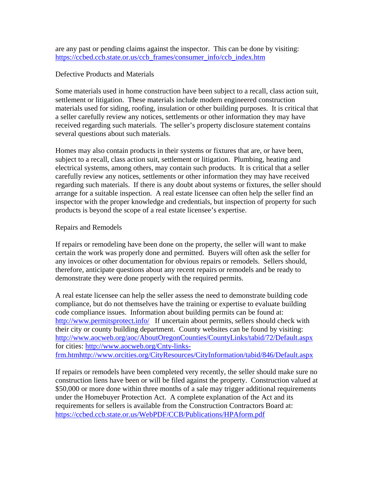are any past or pending claims against the inspector. This can be done by visiting: https://ccbed.ccb.state.or.us/ccb\_frames/consumer\_info/ccb\_index.htm

### Defective Products and Materials

Some materials used in home construction have been subject to a recall, class action suit, settlement or litigation. These materials include modern engineered construction materials used for siding, roofing, insulation or other building purposes. It is critical that a seller carefully review any notices, settlements or other information they may have received regarding such materials. The seller's property disclosure statement contains several questions about such materials.

Homes may also contain products in their systems or fixtures that are, or have been, subject to a recall, class action suit, settlement or litigation. Plumbing, heating and electrical systems, among others, may contain such products. It is critical that a seller carefully review any notices, settlements or other information they may have received regarding such materials. If there is any doubt about systems or fixtures, the seller should arrange for a suitable inspection. A real estate licensee can often help the seller find an inspector with the proper knowledge and credentials, but inspection of property for such products is beyond the scope of a real estate licensee's expertise.

#### Repairs and Remodels

If repairs or remodeling have been done on the property, the seller will want to make certain the work was properly done and permitted. Buyers will often ask the seller for any invoices or other documentation for obvious repairs or remodels. Sellers should, therefore, anticipate questions about any recent repairs or remodels and be ready to demonstrate they were done properly with the required permits.

A real estate licensee can help the seller assess the need to demonstrate building code compliance, but do not themselves have the training or expertise to evaluate building code compliance issues. Information about building permits can be found at: http://www.permitsprotect.info/ If uncertain about permits, sellers should check with their city or county building department. County websites can be found by visiting: http://www.aocweb.org/aoc/AboutOregonCounties/CountyLinks/tabid/72/Default.aspx for cities: http://www.aocweb.org/Cnty-linksfrm.htmhttp://www.orcities.org/CityResources/CityInformation/tabid/846/Default.aspx

If repairs or remodels have been completed very recently, the seller should make sure no construction liens have been or will be filed against the property. Construction valued at \$50,000 or more done within three months of a sale may trigger additional requirements under the Homebuyer Protection Act. A complete explanation of the Act and its requirements for sellers is available from the Construction Contractors Board at: https://ccbed.ccb.state.or.us/WebPDF/CCB/Publications/HPAform.pdf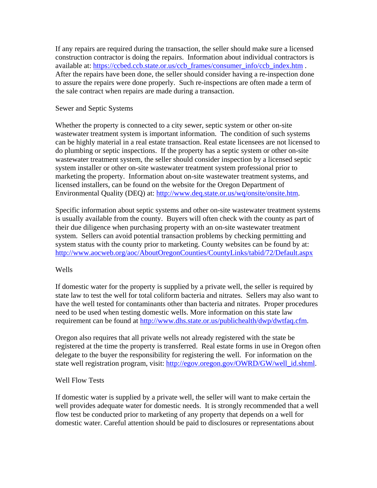If any repairs are required during the transaction, the seller should make sure a licensed construction contractor is doing the repairs. Information about individual contractors is available at: https://ccbed.ccb.state.or.us/ccb\_frames/consumer\_info/ccb\_index.htm . After the repairs have been done, the seller should consider having a re-inspection done to assure the repairs were done properly. Such re-inspections are often made a term of the sale contract when repairs are made during a transaction.

### Sewer and Septic Systems

Whether the property is connected to a city sewer, septic system or other on-site wastewater treatment system is important information. The condition of such systems can be highly material in a real estate transaction. Real estate licensees are not licensed to do plumbing or septic inspections. If the property has a septic system or other on-site wastewater treatment system, the seller should consider inspection by a licensed septic system installer or other on-site wastewater treatment system professional prior to marketing the property. Information about on-site wastewater treatment systems, and licensed installers, can be found on the website for the Oregon Department of Environmental Quality (DEQ) at: http://www.deq.state.or.us/wq/onsite/onsite.htm.

Specific information about septic systems and other on-site wastewater treatment systems is usually available from the county. Buyers will often check with the county as part of their due diligence when purchasing property with an on-site wastewater treatment system. Sellers can avoid potential transaction problems by checking permitting and system status with the county prior to marketing. County websites can be found by at: http://www.aocweb.org/aoc/AboutOregonCounties/CountyLinks/tabid/72/Default.aspx

## Wells

If domestic water for the property is supplied by a private well, the seller is required by state law to test the well for total coliform bacteria and nitrates. Sellers may also want to have the well tested for contaminants other than bacteria and nitrates. Proper procedures need to be used when testing domestic wells. More information on this state law requirement can be found at http://www.dhs.state.or.us/publichealth/dwp/dwtfaq.cfm.

Oregon also requires that all private wells not already registered with the state be registered at the time the property is transferred. Real estate forms in use in Oregon often delegate to the buyer the responsibility for registering the well. For information on the state well registration program, visit: http://egov.oregon.gov/OWRD/GW/well\_id.shtml.

#### Well Flow Tests

If domestic water is supplied by a private well, the seller will want to make certain the well provides adequate water for domestic needs. It is strongly recommended that a well flow test be conducted prior to marketing of any property that depends on a well for domestic water. Careful attention should be paid to disclosures or representations about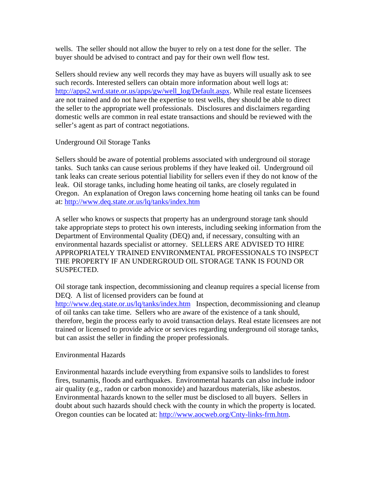wells. The seller should not allow the buyer to rely on a test done for the seller. The buyer should be advised to contract and pay for their own well flow test.

Sellers should review any well records they may have as buyers will usually ask to see such records. Interested sellers can obtain more information about well logs at: http://apps2.wrd.state.or.us/apps/gw/well\_log/Default.aspx. While real estate licensees are not trained and do not have the expertise to test wells, they should be able to direct the seller to the appropriate well professionals. Disclosures and disclaimers regarding domestic wells are common in real estate transactions and should be reviewed with the seller's agent as part of contract negotiations.

Underground Oil Storage Tanks

Sellers should be aware of potential problems associated with underground oil storage tanks. Such tanks can cause serious problems if they have leaked oil. Underground oil tank leaks can create serious potential liability for sellers even if they do not know of the leak. Oil storage tanks, including home heating oil tanks, are closely regulated in Oregon. An explanation of Oregon laws concerning home heating oil tanks can be found at: http://www.deq.state.or.us/lq/tanks/index.htm

A seller who knows or suspects that property has an underground storage tank should take appropriate steps to protect his own interests, including seeking information from the Department of Environmental Quality (DEQ) and, if necessary, consulting with an environmental hazards specialist or attorney. SELLERS ARE ADVISED TO HIRE APPROPRIATELY TRAINED ENVIRONMENTAL PROFESSIONALS TO INSPECT THE PROPERTY IF AN UNDERGROUD OIL STORAGE TANK IS FOUND OR SUSPECTED.

Oil storage tank inspection, decommissioning and cleanup requires a special license from DEQ. A list of licensed providers can be found at http://www.deq.state.or.us/lq/tanks/index.htm Inspection, decommissioning and cleanup of oil tanks can take time. Sellers who are aware of the existence of a tank should, therefore, begin the process early to avoid transaction delays. Real estate licensees are not trained or licensed to provide advice or services regarding underground oil storage tanks, but can assist the seller in finding the proper professionals.

Environmental Hazards

Environmental hazards include everything from expansive soils to landslides to forest fires, tsunamis, floods and earthquakes. Environmental hazards can also include indoor air quality (e.g., radon or carbon monoxide) and hazardous materials, like asbestos. Environmental hazards known to the seller must be disclosed to all buyers. Sellers in doubt about such hazards should check with the county in which the property is located. Oregon counties can be located at: http://www.aocweb.org/Cnty-links-frm.htm.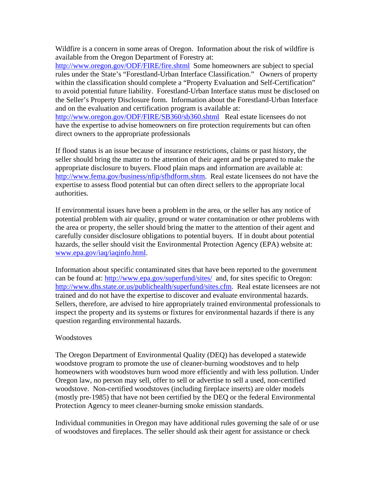Wildfire is a concern in some areas of Oregon. Information about the risk of wildfire is available from the Oregon Department of Forestry at:

http://www.oregon.gov/ODF/FIRE/fire.shtml Some homeowners are subject to special rules under the State's "Forestland-Urban Interface Classification." Owners of property within the classification should complete a "Property Evaluation and Self-Certification" to avoid potential future liability. Forestland-Urban Interface status must be disclosed on the Seller's Property Disclosure form. Information about the Forestland-Urban Interface and on the evaluation and certification program is available at:

http://www.oregon.gov/ODF/FIRE/SB360/sb360.shtml Real estate licensees do not have the expertise to advise homeowners on fire protection requirements but can often direct owners to the appropriate professionals

If flood status is an issue because of insurance restrictions, claims or past history, the seller should bring the matter to the attention of their agent and be prepared to make the appropriate disclosure to buyers. Flood plain maps and information are available at: http://www.fema.gov/business/nfip/sfhdform.shtm. Real estate licensees do not have the expertise to assess flood potential but can often direct sellers to the appropriate local authorities.

If environmental issues have been a problem in the area, or the seller has any notice of potential problem with air quality, ground or water contamination or other problems with the area or property, the seller should bring the matter to the attention of their agent and carefully consider disclosure obligations to potential buyers. If in doubt about potential hazards, the seller should visit the Environmental Protection Agency (EPA) website at: www.epa.gov/iaq/iaqinfo.html.

Information about specific contaminated sites that have been reported to the government can be found at: http://www.epa.gov/superfund/sites/ and, for sites specific to Oregon: http://www.dhs.state.or.us/publichealth/superfund/sites.cfm. Real estate licensees are not trained and do not have the expertise to discover and evaluate environmental hazards. Sellers, therefore, are advised to hire appropriately trained environmental professionals to inspect the property and its systems or fixtures for environmental hazards if there is any question regarding environmental hazards.

## **Woodstoves**

The Oregon Department of Environmental Quality (DEQ) has developed a statewide woodstove program to promote the use of cleaner-burning woodstoves and to help homeowners with woodstoves burn wood more efficiently and with less pollution. Under Oregon law, no person may sell, offer to sell or advertise to sell a used, non-certified woodstove. Non-certified woodstoves (including fireplace inserts) are older models (mostly pre-1985) that have not been certified by the DEQ or the federal Environmental Protection Agency to meet cleaner-burning smoke emission standards.

Individual communities in Oregon may have additional rules governing the sale of or use of woodstoves and fireplaces. The seller should ask their agent for assistance or check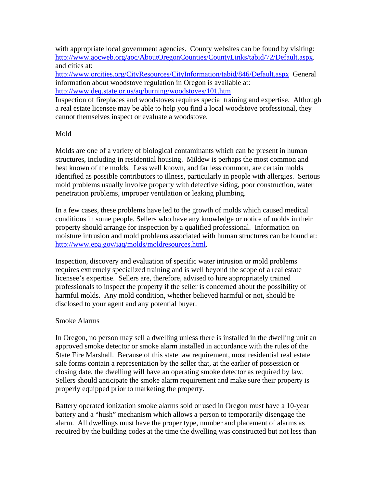with appropriate local government agencies. County websites can be found by visiting: http://www.aocweb.org/aoc/AboutOregonCounties/CountyLinks/tabid/72/Default.aspx. and cities at:

http://www.orcities.org/CityResources/CityInformation/tabid/846/Default.aspx General information about woodstove regulation in Oregon is available at: http://www.deq.state.or.us/aq/burning/woodstoves/101.htm

Inspection of fireplaces and woodstoves requires special training and expertise. Although a real estate licensee may be able to help you find a local woodstove professional, they cannot themselves inspect or evaluate a woodstove.

# Mold

Molds are one of a variety of biological contaminants which can be present in human structures, including in residential housing. Mildew is perhaps the most common and best known of the molds. Less well known, and far less common, are certain molds identified as possible contributors to illness, particularly in people with allergies. Serious mold problems usually involve property with defective siding, poor construction, water penetration problems, improper ventilation or leaking plumbing.

In a few cases, these problems have led to the growth of molds which caused medical conditions in some people. Sellers who have any knowledge or notice of molds in their property should arrange for inspection by a qualified professional. Information on moisture intrusion and mold problems associated with human structures can be found at: http://www.epa.gov/iaq/molds/moldresources.html.

Inspection, discovery and evaluation of specific water intrusion or mold problems requires extremely specialized training and is well beyond the scope of a real estate licensee's expertise. Sellers are, therefore, advised to hire appropriately trained professionals to inspect the property if the seller is concerned about the possibility of harmful molds. Any mold condition, whether believed harmful or not, should be disclosed to your agent and any potential buyer.

## Smoke Alarms

In Oregon, no person may sell a dwelling unless there is installed in the dwelling unit an approved smoke detector or smoke alarm installed in accordance with the rules of the State Fire Marshall. Because of this state law requirement, most residential real estate sale forms contain a representation by the seller that, at the earlier of possession or closing date, the dwelling will have an operating smoke detector as required by law. Sellers should anticipate the smoke alarm requirement and make sure their property is properly equipped prior to marketing the property.

Battery operated ionization smoke alarms sold or used in Oregon must have a 10-year battery and a "hush" mechanism which allows a person to temporarily disengage the alarm. All dwellings must have the proper type, number and placement of alarms as required by the building codes at the time the dwelling was constructed but not less than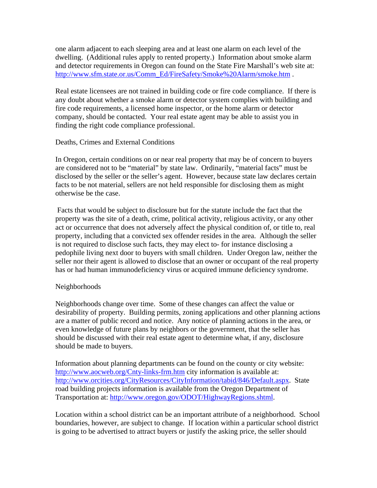one alarm adjacent to each sleeping area and at least one alarm on each level of the dwelling. (Additional rules apply to rented property.) Information about smoke alarm and detector requirements in Oregon can found on the State Fire Marshall's web site at: http://www.sfm.state.or.us/Comm\_Ed/FireSafety/Smoke%20Alarm/smoke.htm .

Real estate licensees are not trained in building code or fire code compliance. If there is any doubt about whether a smoke alarm or detector system complies with building and fire code requirements, a licensed home inspector, or the home alarm or detector company, should be contacted. Your real estate agent may be able to assist you in finding the right code compliance professional.

## Deaths, Crimes and External Conditions

In Oregon, certain conditions on or near real property that may be of concern to buyers are considered not to be "material" by state law. Ordinarily, "material facts" must be disclosed by the seller or the seller's agent. However, because state law declares certain facts to be not material, sellers are not held responsible for disclosing them as might otherwise be the case.

 Facts that would be subject to disclosure but for the statute include the fact that the property was the site of a death, crime, political activity, religious activity, or any other act or occurrence that does not adversely affect the physical condition of, or title to, real property, including that a convicted sex offender resides in the area. Although the seller is not required to disclose such facts, they may elect to- for instance disclosing a pedophile living next door to buyers with small children. Under Oregon law, neither the seller nor their agent is allowed to disclose that an owner or occupant of the real property has or had human immunodeficiency virus or acquired immune deficiency syndrome.

## Neighborhoods

Neighborhoods change over time. Some of these changes can affect the value or desirability of property. Building permits, zoning applications and other planning actions are a matter of public record and notice. Any notice of planning actions in the area, or even knowledge of future plans by neighbors or the government, that the seller has should be discussed with their real estate agent to determine what, if any, disclosure should be made to buyers.

Information about planning departments can be found on the county or city website: http://www.aocweb.org/Cnty-links-frm.htm city information is available at: http://www.orcities.org/CityResources/CityInformation/tabid/846/Default.aspx. State road building projects information is available from the Oregon Department of Transportation at: http://www.oregon.gov/ODOT/HighwayRegions.shtml.

Location within a school district can be an important attribute of a neighborhood. School boundaries, however, are subject to change. If location within a particular school district is going to be advertised to attract buyers or justify the asking price, the seller should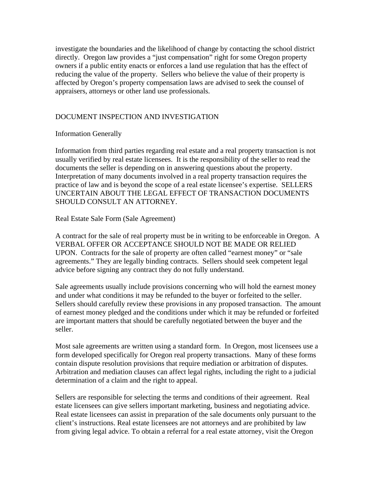investigate the boundaries and the likelihood of change by contacting the school district directly. Oregon law provides a "just compensation" right for some Oregon property owners if a public entity enacts or enforces a land use regulation that has the effect of reducing the value of the property. Sellers who believe the value of their property is affected by Oregon's property compensation laws are advised to seek the counsel of appraisers, attorneys or other land use professionals.

## DOCUMENT INSPECTION AND INVESTIGATION

Information Generally

Information from third parties regarding real estate and a real property transaction is not usually verified by real estate licensees. It is the responsibility of the seller to read the documents the seller is depending on in answering questions about the property. Interpretation of many documents involved in a real property transaction requires the practice of law and is beyond the scope of a real estate licensee's expertise. SELLERS UNCERTAIN ABOUT THE LEGAL EFFECT OF TRANSACTION DOCUMENTS SHOULD CONSULT AN ATTORNEY.

Real Estate Sale Form (Sale Agreement)

A contract for the sale of real property must be in writing to be enforceable in Oregon. A VERBAL OFFER OR ACCEPTANCE SHOULD NOT BE MADE OR RELIED UPON. Contracts for the sale of property are often called "earnest money" or "sale agreements." They are legally binding contracts. Sellers should seek competent legal advice before signing any contract they do not fully understand.

Sale agreements usually include provisions concerning who will hold the earnest money and under what conditions it may be refunded to the buyer or forfeited to the seller. Sellers should carefully review these provisions in any proposed transaction. The amount of earnest money pledged and the conditions under which it may be refunded or forfeited are important matters that should be carefully negotiated between the buyer and the seller.

Most sale agreements are written using a standard form. In Oregon, most licensees use a form developed specifically for Oregon real property transactions. Many of these forms contain dispute resolution provisions that require mediation or arbitration of disputes. Arbitration and mediation clauses can affect legal rights, including the right to a judicial determination of a claim and the right to appeal.

Sellers are responsible for selecting the terms and conditions of their agreement. Real estate licensees can give sellers important marketing, business and negotiating advice. Real estate licensees can assist in preparation of the sale documents only pursuant to the client's instructions. Real estate licensees are not attorneys and are prohibited by law from giving legal advice. To obtain a referral for a real estate attorney, visit the Oregon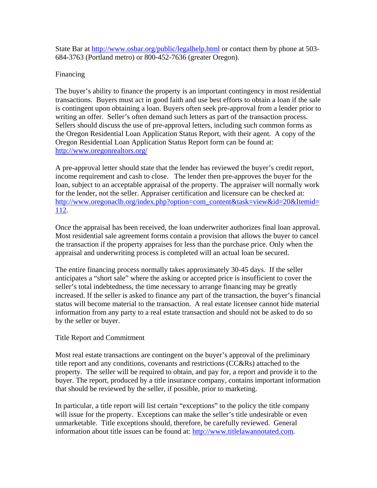State Bar at http://www.osbar.org/public/legalhelp.html or contact them by phone at 503- 684-3763 (Portland metro) or 800-452-7636 (greater Oregon).

# Financing

The buyer's ability to finance the property is an important contingency in most residential transactions. Buyers must act in good faith and use best efforts to obtain a loan if the sale is contingent upon obtaining a loan. Buyers often seek pre-approval from a lender prior to writing an offer. Seller's often demand such letters as part of the transaction process. Sellers should discuss the use of pre-approval letters, including such common forms as the Oregon Residential Loan Application Status Report, with their agent. A copy of the Oregon Residential Loan Application Status Report form can be found at: http://www.oregonrealtors.org/

A pre-approval letter should state that the lender has reviewed the buyer's credit report, income requirement and cash to close. The lender then pre-approves the buyer for the loan, subject to an acceptable appraisal of the property. The appraiser will normally work for the lender, not the seller. Appraiser certification and licensure can be checked at: http://www.oregonaclb.org/index.php?option=com\_content&task=view&id=20&Itemid= 112.

Once the appraisal has been received, the loan underwriter authorizes final loan approval. Most residential sale agreement forms contain a provision that allows the buyer to cancel the transaction if the property appraises for less than the purchase price. Only when the appraisal and underwriting process is completed will an actual loan be secured.

The entire financing process normally takes approximately 30-45 days. If the seller anticipates a "short sale" where the asking or accepted price is insufficient to cover the seller's total indebtedness, the time necessary to arrange financing may be greatly increased. If the seller is asked to finance any part of the transaction, the buyer's financial status will become material to the transaction. A real estate licensee cannot hide material information from any party to a real estate transaction and should not be asked to do so by the seller or buyer.

## Title Report and Commitment

Most real estate transactions are contingent on the buyer's approval of the preliminary title report and any conditions, covenants and restrictions (CC&Rs) attached to the property. The seller will be required to obtain, and pay for, a report and provide it to the buyer. The report, produced by a title insurance company, contains important information that should be reviewed by the seller, if possible, prior to marketing.

In particular, a title report will list certain "exceptions" to the policy the title company will issue for the property. Exceptions can make the seller's title undesirable or even unmarketable. Title exceptions should, therefore, be carefully reviewed. General information about title issues can be found at: http://www.titlelawannotated.com.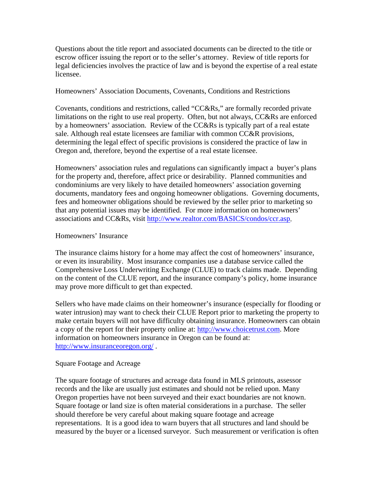Questions about the title report and associated documents can be directed to the title or escrow officer issuing the report or to the seller's attorney. Review of title reports for legal deficiencies involves the practice of law and is beyond the expertise of a real estate licensee.

### Homeowners' Association Documents, Covenants, Conditions and Restrictions

Covenants, conditions and restrictions, called "CC&Rs," are formally recorded private limitations on the right to use real property. Often, but not always, CC&Rs are enforced by a homeowners' association. Review of the CC&Rs is typically part of a real estate sale. Although real estate licensees are familiar with common CC&R provisions, determining the legal effect of specific provisions is considered the practice of law in Oregon and, therefore, beyond the expertise of a real estate licensee.

Homeowners' association rules and regulations can significantly impact a buyer's plans for the property and, therefore, affect price or desirability. Planned communities and condominiums are very likely to have detailed homeowners' association governing documents, mandatory fees and ongoing homeowner obligations. Governing documents, fees and homeowner obligations should be reviewed by the seller prior to marketing so that any potential issues may be identified. For more information on homeowners' associations and CC&Rs, visit http://www.realtor.com/BASICS/condos/ccr.asp.

#### Homeowners' Insurance

The insurance claims history for a home may affect the cost of homeowners' insurance, or even its insurability. Most insurance companies use a database service called the Comprehensive Loss Underwriting Exchange (CLUE) to track claims made. Depending on the content of the CLUE report, and the insurance company's policy, home insurance may prove more difficult to get than expected.

Sellers who have made claims on their homeowner's insurance (especially for flooding or water intrusion) may want to check their CLUE Report prior to marketing the property to make certain buyers will not have difficulty obtaining insurance. Homeowners can obtain a copy of the report for their property online at: http://www.choicetrust.com. More information on homeowners insurance in Oregon can be found at: http://www.insuranceoregon.org/ .

## Square Footage and Acreage

The square footage of structures and acreage data found in MLS printouts, assessor records and the like are usually just estimates and should not be relied upon. Many Oregon properties have not been surveyed and their exact boundaries are not known. Square footage or land size is often material considerations in a purchase. The seller should therefore be very careful about making square footage and acreage representations. It is a good idea to warn buyers that all structures and land should be measured by the buyer or a licensed surveyor. Such measurement or verification is often